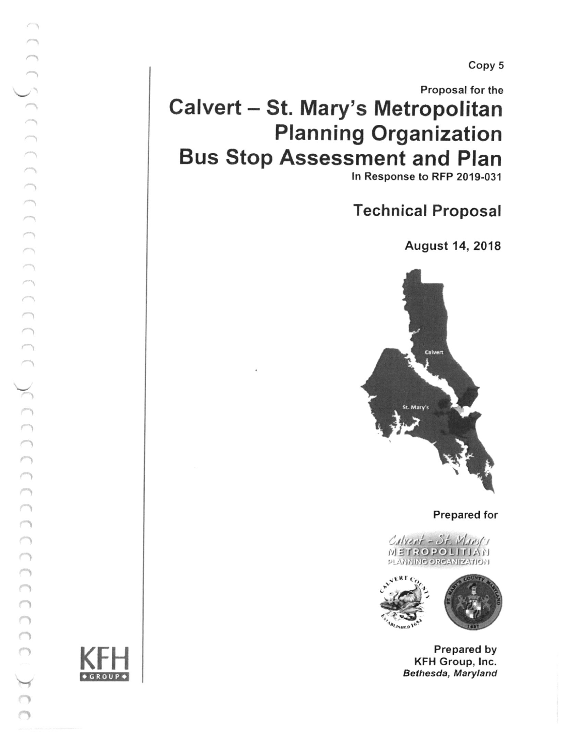Copy 5

# Calvert - St. Mary's Metropolitan Planning Organization Bus Stop Assessment and Plan Proposal for the

ln Response to RFP 2019-031

Technical Proposal

August 14, 2018



Prepared for





Prepared by KFH Group, lnc. Bethesda, Maryland



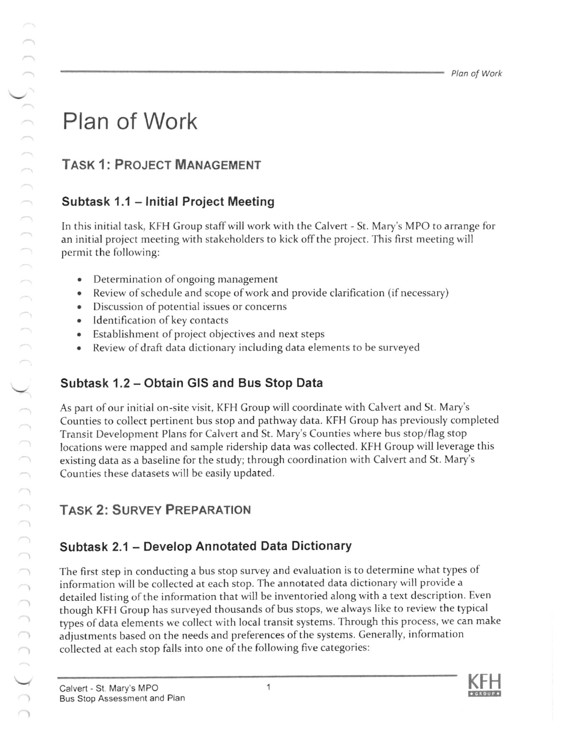# Plan of Work

## TASK 1: PROJECT MANAGEMENT

#### Subtask 1.1 - Initial Project Meeting

In this initial task, KFH Group staffwill work with the Calvert - St. Mary's MPO to arrange for an initial project meeting with stakeholders to kick off the project. This first meeting will permit the following:

- . Determination of ongoing management
- Review of schedule and scope of work and provide clarification (if necessary)
- Discussion of potential issues or concerns
- . Identification of key contacts
- Establishment of project objectives and next steps
- Review of draft data dictionary including data elements to be surveyed

#### Subtask 1.2 - Obtain GIS and Bus Stop Data

As part of our initial on-site visit, KFH Group will coordinate with Calvert and St. Mary's Counties to collect pertinent bus stop and pathway data. KFH Group has previously completed Transit Development Plans for Calvert and St. Mary's Counties where bus stop/flag stop locations were mapped and sample ridership data was collected. KFH Group will leverage this existing data as a baseline for the study; through coordination with Calvert and St. Mary's Counties these datasets will be easily updated.

### **TASK 2: SURVEY PREPARATION**

#### Subtask 2.1 - Develop Annotated Data Dictionary

The first step in conducting a bus stop survey and evaluation is to determine what types of information will be collected at each stop. The annotated data dictionary will provide a detailed listing of the information that will be inventoried along with a text description. Even though KFH Group has surveyed thousands of bus stops, we always like to review the typical types of data elements we collect with local transit systems. Through this process, we can make adjustments based on the needs and preferences of the systems. Generally, information collected at each stop falls into one of the following five categories: